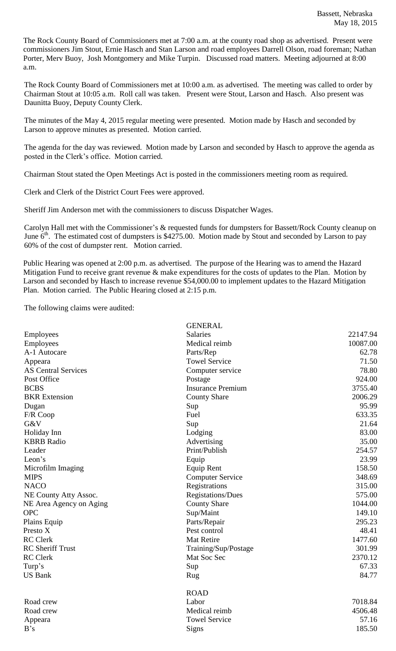The Rock County Board of Commissioners met at 7:00 a.m. at the county road shop as advertised. Present were commissioners Jim Stout, Ernie Hasch and Stan Larson and road employees Darrell Olson, road foreman; Nathan Porter, Merv Buoy, Josh Montgomery and Mike Turpin. Discussed road matters. Meeting adjourned at 8:00 a.m.

The Rock County Board of Commissioners met at 10:00 a.m. as advertised. The meeting was called to order by Chairman Stout at 10:05 a.m. Roll call was taken. Present were Stout, Larson and Hasch. Also present was Daunitta Buoy, Deputy County Clerk.

The minutes of the May 4, 2015 regular meeting were presented. Motion made by Hasch and seconded by Larson to approve minutes as presented. Motion carried.

The agenda for the day was reviewed. Motion made by Larson and seconded by Hasch to approve the agenda as posted in the Clerk's office. Motion carried.

Chairman Stout stated the Open Meetings Act is posted in the commissioners meeting room as required.

Clerk and Clerk of the District Court Fees were approved.

Sheriff Jim Anderson met with the commissioners to discuss Dispatcher Wages.

Carolyn Hall met with the Commissioner's & requested funds for dumpsters for Bassett/Rock County cleanup on June  $6<sup>th</sup>$ . The estimated cost of dumpsters is \$4275.00. Motion made by Stout and seconded by Larson to pay 60% of the cost of dumpster rent. Motion carried.

Public Hearing was opened at 2:00 p.m. as advertised. The purpose of the Hearing was to amend the Hazard Mitigation Fund to receive grant revenue & make expenditures for the costs of updates to the Plan. Motion by Larson and seconded by Hasch to increase revenue \$54,000.00 to implement updates to the Hazard Mitigation Plan. Motion carried. The Public Hearing closed at 2:15 p.m.

The following claims were audited:

|                            | <b>GENERAL</b>           |          |
|----------------------------|--------------------------|----------|
| Employees                  | <b>Salaries</b>          | 22147.94 |
| Employees                  | Medical reimb            | 10087.00 |
| A-1 Autocare               | Parts/Rep                | 62.78    |
| Appeara                    | <b>Towel Service</b>     | 71.50    |
| <b>AS Central Services</b> | Computer service         | 78.80    |
| Post Office                | Postage                  | 924.00   |
| <b>BCBS</b>                | <b>Insurance Premium</b> | 3755.40  |
| <b>BKR</b> Extension       | <b>County Share</b>      | 2006.29  |
| Dugan                      | Sup                      | 95.99    |
| F/R Coop                   | Fuel                     | 633.35   |
| G&V                        | Sup                      | 21.64    |
| Holiday Inn                | Lodging                  | 83.00    |
| <b>KBRB</b> Radio          | Advertising              | 35.00    |
| Leader                     | Print/Publish            | 254.57   |
| Leon's                     | Equip                    | 23.99    |
| Microfilm Imaging          | <b>Equip Rent</b>        | 158.50   |
| <b>MIPS</b>                | <b>Computer Service</b>  | 348.69   |
| <b>NACO</b>                | Registrations            | 315.00   |
| NE County Atty Assoc.      | <b>Registations/Dues</b> | 575.00   |
| NE Area Agency on Aging    | <b>County Share</b>      | 1044.00  |
| <b>OPC</b>                 | Sup/Maint                | 149.10   |
| Plains Equip               | Parts/Repair             | 295.23   |
| Presto X                   | Pest control             | 48.41    |
| <b>RC</b> Clerk            | Mat Retire               | 1477.60  |
| <b>RC</b> Sheriff Trust    | Training/Sup/Postage     | 301.99   |
| <b>RC</b> Clerk            | Mat Soc Sec              | 2370.12  |
| Turp's                     | Sup                      | 67.33    |
| <b>US Bank</b>             | Rug                      | 84.77    |
|                            | <b>ROAD</b>              |          |
| Road crew                  | Labor                    | 7018.84  |
| Road crew                  | Medical reimb            | 4506.48  |
| Appeara                    | <b>Towel Service</b>     | 57.16    |
| B's                        | Signs                    | 185.50   |
|                            |                          |          |